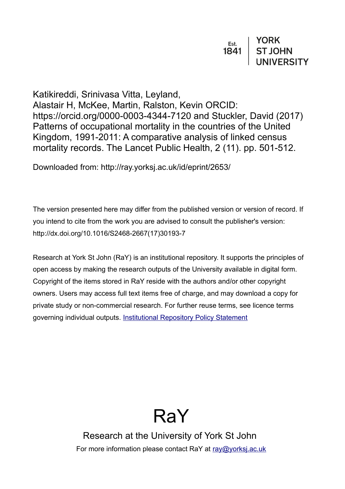Katikireddi, Srinivasa Vitta, Leyland, Alastair H, McKee, Martin, Ralston, Kevin ORCID: https://orcid.org/0000-0003-4344-7120 and Stuckler, David (2017) Patterns of occupational mortality in the countries of the United Kingdom, 1991-2011: A comparative analysis of linked census mortality records. The Lancet Public Health, 2 (11). pp. 501-512.

Downloaded from: http://ray.yorksj.ac.uk/id/eprint/2653/

The version presented here may differ from the published version or version of record. If you intend to cite from the work you are advised to consult the publisher's version: http://dx.doi.org/10.1016/S2468-2667(17)30193-7

Research at York St John (RaY) is an institutional repository. It supports the principles of open access by making the research outputs of the University available in digital form. Copyright of the items stored in RaY reside with the authors and/or other copyright owners. Users may access full text items free of charge, and may download a copy for private study or non-commercial research. For further reuse terms, see licence terms governing individual outputs. [Institutional Repository Policy Statement](https://www.yorksj.ac.uk/ils/repository-policies/)



Research at the University of York St John For more information please contact RaY at [ray@yorksj.ac.uk](mailto:ray@yorksj.ac.uk)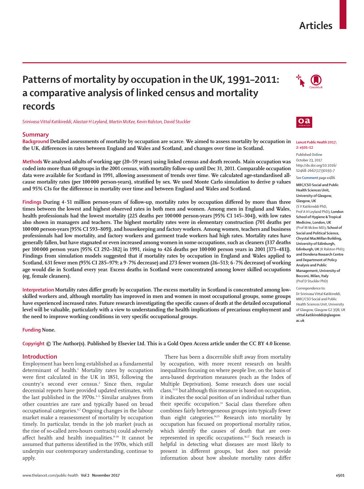# **Articles**

# **Patterns of mortality by occupation in the UK, 1991–2011: a comparative analysis of linked census and mortality records**

*Srinivasa Vittal Katikireddi, Alastair H Leyland, Martin McKee, Kevin Ralston, David Stuckler*

## **Summary**

**Background Detailed assessments of mortality by occupation are scarce. We aimed to assess mortality by occupation in the UK, differences in rates between England and Wales and Scotland, and changes over time in Scotland.**

**Methods We analysed adults of working age (20–59 years) using linked census and death records. Main occupation was coded into more than 60 groups in the 2001 census, with mortality follow-up until Dec 31, 2011. Comparable occupation data were available for Scotland in 1991, allowing assessment of trends over time. We calculated age-standardised allcause mortality rates (per 100000 person-years), stratified by sex. We used Monte Carlo simulation to derive p values and 95% CIs for the difference in mortality over time and between England and Wales and Scotland.**

**Findings During 4·51 million person-years of follow-up, mortality rates by occupation differed by more than three times between the lowest and highest observed rates in both men and women. Among men in England and Wales, health professionals had the lowest mortality (225 deaths per 100000 person-years [95% CI 145–304]), with low rates also shown in managers and teachers. The highest mortality rates were in elementary construction (701 deaths per 100000 person-years [95% CI 593–809]), and housekeeping and factory workers. Among women, teachers and business professionals had low mortality, and factory workers and garment trade workers had high rates. Mortality rates have generally fallen, but have stagnated or even increased among women in some occupations, such as cleaners (337 deaths per 100000 person years [95% CI 292–382] in 1991, rising to 426 deaths per 100000 person years in 2001 [371–481]). Findings from simulation models suggested that if mortality rates by occupation in England and Wales applied to Scotland, 631 fewer men (95% CI 285–979; a 9·7% decrease) and 273 fewer women (26–513; 6·7% decrease) of working age would die in Scotland every year. Excess deaths in Scotland were concentrated among lower skilled occupations (eg, female cleaners).**

**Interpretation Mortality rates differ greatly by occupation. The excess mortality in Scotland is concentrated among lowskilled workers and, although mortality has improved in men and women in most occupational groups, some groups have experienced increased rates. Future research investigating the specific causes of death at the detailed occupational level will be valuable, particularly with a view to understanding the health implications of precarious employment and the need to improve working conditions in very specific occupational groups.**

**Funding None.**

**Copyright © The Author(s). Published by Elsevier Ltd. This is a Gold Open Access article under the CC BY 4.0 license.**

## **Introduction**

Employment has been long established as a fundamental determinant of health.1 Mortality rates by occupation were first calculated in the UK in 1851, following the country's second ever census.<sup>2</sup> Since then, regular decennial reports have provided updated estimates, with the last published in the 1970s.<sup>3-5</sup> Similar analyses from other countries are rare and typically based on broad occupational categories.<sup>6,7</sup> Ongoing changes in the labour market make a reassessment of mortality by occupation timely. In particular, trends in the job market (such as the rise of so-called zero-hours contracts) could adversely affect health and health inequalities.<sup>8-10</sup> It cannot be assumed that patterns identified in the 1970s, which still underpin our contemporary understanding, continue to apply.

There has been a discernible shift away from mortality by occupation, with more recent research on health inequalities focusing on where people live, on the basis of area-based deprivation measures (such as the Index of Multiple Deprivation). Some research does use social class,<sup>11,12</sup> but although this measure is based on occupation, it indicates the social position of an individual rather than their specific occupation.<sup>13</sup> Social class therefore often combines fairly heterogeneous groups into typically fewer than eight categories.14,15 Research into mortality by occupation has focused on proportional mortality ratios, which identify the causes of death that are overrepresented in specific occupations.16,17 Such research is helpful in detecting what diseases are most likely to present in different groups, but does not provide information about how absolute mortality rates differ





### *Lancet Public Health* **2017; 2: e501–12**

Published **Online** October 23, 2017 http://dx.doi.org/10.1016/ S2468-2667(17)30193-7

See **Comment** page e486

**MRC/CSO Social and Public Health Sciences Unit, University of Glasgow, Glasgow, UK**

(S V Katikireddi PhD, Prof A H Leyland PhD)**; London School of Hygiene & Tropical Medicine, London, UK**  (Prof M Mckee MD)**; School of Social and Political Science, Chrystal MacMillan Building, University of Edinburgh, Edinburgh, UK** (K Ralston PhD)**; and Dondena Research Centre and Department of Policy Analysis and Public Management, University of Bocconi, Milan, Italy**  (Prof D Stuckler PhD)

Correspondence to: Dr Srinivasa Vittal Katikireddi, MRC/CSO Social and Public Health Sciences Unit, University of Glasgow, Glasgow G2 3QB, UK **vittal.katikireddi@glasgow. ac.uk**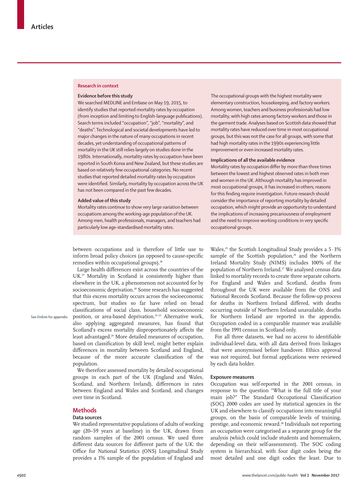#### **Research in context**

#### **Evidence before this study**

We searched MEDLINE and Embase on May 19, 2015, to identify studies that reported mortality rates by occupation (from inception and limiting to English-language publications). Search terms included "occupation", "job", "mortality", and "deaths". Technological and societal developments have led to major changes in the nature of many occupations in recent decades, yet understanding of occupational patterns of mortality in the UK still relies largely on studies done in the 1980s. Internationally, mortality rates by occupation have been reported in South Korea and New Zealand, but these studies are based on relatively few occupational categories. No recent studies that reported detailed mortality rates by occupation were identified. Similarly, mortality by occupation across the UK has not been compared in the past few decades.

#### **Added value of this study**

Mortality rates continue to show very large variation between occupations among the working-age population of the UK. Among men, health professionals, managers, and teachers had particularly low age-standardised mortality rates.

The occupational groups with the highest mortality were elementary construction, housekeeping, and factory workers. Among women, teachers and business professionals had low mortality, with high rates among factory workers and those in the garment trade. Analyses based on Scottish data showed that mortality rates have reduced over time in most occupational groups, but this was not the case for all groups, with some that had high mortality rates in the 1990s experiencing little improvement or even increased mortality rates.

### **Implications of all the available evidence**

Mortality rates by occupation differ by more than three times between the lowest and highest observed rates in both men and women in the UK. Although mortality has improved in most occupational groups, it has increased in others; reasons for this finding require investigation. Future research should consider the importance of reporting mortality by detailed occupation, which might provide an opportunity to understand the implications of increasing precariousness of employment and the need to improve working conditions in very specific occupational groups.

between occupations and is therefore of little use to inform broad policy choices (as opposed to cause-specific remedies within occupational groups).<sup>18</sup>

Large health differences exist across the countries of the UK.19 Mortality in Scotland is consistently higher than elsewhere in the UK, a phenomenon not accounted for by socioeconomic deprivation.<sup>20</sup> Some research has suggested that this excess mortality occurs across the socioeconomic spectrum, but studies so far have relied on broad classifications of social class, household socioeconomic position, or area-based deprivation.21–23 Alternative work, also applying aggregated measures, has found that Scotland's excess mortality disproportionately affects the least advantaged.24 More detailed measures of occupation, based on classification by skill level, might better explain differences in mortality between Scotland and England, because of the more accurate classification of the population.

We therefore assessed mortality by detailed occupational groups in each part of the UK (England and Wales, Scotland, and Northern Ireland), differences in rates between England and Wales and Scotland, and changes over time in Scotland.

## **Methods**

## **Data sources**

We studied representative populations of adults of working age (20–59 years at baseline) in the UK, drawn from random samples of the 2001 census. We used three different data sources for different parts of the UK: the Office for National Statistics (ONS) Longitudinal Study provides a 1% sample of the population of England and Wales,<sup>25</sup> the Scottish Longitudinal Study provides a  $5.3\%$ sample of the Scottish population, $26$  and the Northern Ireland Mortality Study (NIMS) includes 100% of the population of Northern Ireland.<sup>27</sup> We analysed census data linked to mortality records to create three separate cohorts. For England and Wales and Scotland, deaths from throughout the UK were available from the ONS and National Records Scotland. Because the follow-up process for deaths in Northern Ireland differed, with deaths occurring outside of Northern Ireland unavailable, deaths for Northern Ireland are reported in the appendix. Occupation coded in a comparable manner was available from the 1991 census in Scotland only.

For all three datasets, we had no access to identifiable individual-level data, with all data derived from linkages that were anonymised before handover. Ethics approval was not required, but formal applications were reviewed by each data holder.

#### **Exposure measures**

Occupation was self-reported in the 2001 census, in response to the question "What is the full title of your main job?" The Standard Occupational Classification (SOC) 2000 codes are used by statistical agencies in the UK and elsewhere to classify occupations into meaningful groups, on the basis of comparable levels of training, prestige, and economic reward.28 Individuals not reporting an occupation were categorised as a separate group for the analysis (which could include students and homemakers**,** depending on their self-assessment). The SOC coding system is hierarchical, with four digit codes being the most detailed and one digit codes the least. Due to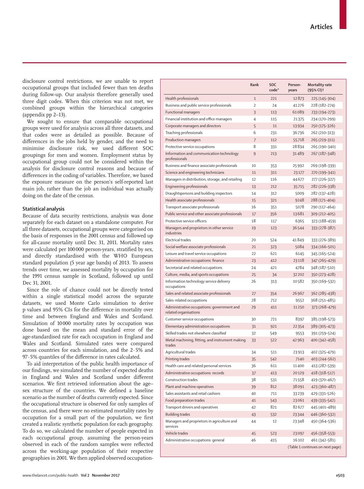www.thelancet.com/public-health **Vol 2 November 2017 e503**

disclosure control restrictions, we are unable to report occupational groups that included fewer than ten deaths during follow-up. Our analysis therefore generally used three digit codes. When this criterion was not met, we combined groups within the hierarchical categories (appendix pp 2–13).

We sought to ensure that comparable occupational groups were used for analysis across all three datasets, and that codes were as detailed as possible. Because of differences in the jobs held by gender, and the need to minimise disclosure risk, we used different SOC groupings for men and women. Employment status by occupational group could not be considered within the analysis for disclosure control reasons and because of differences in the coding of variables. Therefore, we based the exposure measure on the person's self-reported last main job, rather than the job an individual was actually doing on the date of the census.

## **Statistical analysis**

Because of data security restrictions, analysis was done separately for each dataset on a standalone computer. For all three datasets, occupational groups were categorised on the basis of responses in the 2001 census and followed up for all-cause mortality until Dec 31, 2011. Mortality rates were calculated per 100000 person-years, stratified by sex, and directly standardised with the WHO European standard population (5 year age bands) of 2013. To assess trends over time, we assessed mortality by occupation for the 1991 census sample in Scotland, followed up until Dec 31, 2001.

Since the role of chance could not be directly tested within a single statistical model across the separate datasets, we used Monte Carlo simulation to derive p values and 95% CIs for the difference in mortality over time and between England and Wales and Scotland. Simulation of 10000 mortality rates by occupation was done based on the mean and standard error of the age-standardised rate for each occupation in England and Wales and Scotland. Simulated rates were compared across countries for each simulation, and the 2·5% and 97·5% quantiles of the difference in rates calculated.

To aid interpretation of the public health importance of our findings, we simulated the number of expected deaths in England and Wales and Scotland under different scenarios. We first retrieved information about the age– sex structure of the countries. We defined a baseline scenario as the number of deaths currently expected. Since the occupational structure is observed for only samples of the census, and there were no estimated mortality rates by occupation for a small part of the population, we first created a realistic synthetic population for each geography. To do so, we calculated the number of people expected in each occupational group, assuming the person-years observed in each of the random samples were reflected across the working-age population of their respective geographies in 2001. We then applied observed occupation-

|                                                                     | Rank           | <b>SOC</b><br>code* | Person-<br>years | <b>Mortality rate</b><br>$(95% CI)$ <sup>†</sup> |
|---------------------------------------------------------------------|----------------|---------------------|------------------|--------------------------------------------------|
| Health professionals                                                | $\mathbf{1}$   | 221                 | 12873            | 225 (145-304)                                    |
| Business and public service professionals                           | $\overline{2}$ | 24                  | 41276            | 228 (182–274)                                    |
| Functional managers                                                 | 3              | 113                 | 61089            | 233 (194-273)                                    |
| Financial institution and office managers                           | $\overline{4}$ | 115                 | 21375            | 234 (170-299)                                    |
| Corporate managers and directors                                    | 5              | 11                  | 13934            | 250 (175-326)                                    |
| Teaching professionals                                              | 6              | 231                 | 36736            | 262 (210-313)                                    |
| Production managers                                                 | $\overline{7}$ | 112                 | 55718            | 265 (219-311)                                    |
| Protective service occupations                                      | 8              | 331                 | 28834            | 265 (190-340)                                    |
| Information and communication technology<br>professionals           | 9              | 213                 | 31489            | 267 (187-348)                                    |
| Business and finance associate professionals                        | 10             | 353                 | 25992            | 269 (198–339)                                    |
| Science and engineering technicians                                 | 11             | 311                 | 23177            | 270 (199-341)                                    |
| Managers in distribution, storage, and retailing                    | 12             | 116                 | 44677            | 277 (226-327)                                    |
| Engineering professionals                                           | 13             | 212                 | 35715            | 282 (226-338)                                    |
| Draughtspersons and building inspectors                             | 14             | 312                 | 5009             | 282 (137–428)                                    |
| Health associate professionals                                      | 15             | 321                 | 9248             | 288 (171-404)                                    |
| Transport associate professionals                                   | 16             | 351                 | 5078             | 290 (117-464)                                    |
| Public service and other associate professionals                    | 17             | 356                 | 13681            | 309 (212-405)                                    |
| Protective service officers                                         | 18             | 117                 | 6365             | 323 (188-459)                                    |
| Managers and proprietors in other service<br>industries             | 19             | 123                 | 36544            | 333 (278-387)                                    |
| Electrical trades                                                   | 20             | 524                 | 41849            | 333 (276–389)                                    |
| Social welfare associate professionals                              | 21             | 323                 | 5084             | 334 (166-501)                                    |
| Leisure and travel service occupations                              | 22             | 621                 | 6145             | 345 (165–524)                                    |
| Administrative occupations: finance                                 | 23             | 412                 | 23118            | 347 (265-429)                                    |
| Secretarial and related occupations                                 | 24             | 421                 | 4784             | 348 (187-510)                                    |
| Culture, media, and sports occupations                              | 25             | 34                  | 32 20 2          | 350 (273-428)                                    |
| Information technology service delivery<br>occupations              | 26             | 313                 | 10582            | 350 (169-532)                                    |
| Sales and related associate professionals                           | 27             | 354                 | 26967            | 362 (285-438)                                    |
| Sales-related occupations                                           | 28             | 712                 | 9552             | 368 (251-485)                                    |
| Administrative occupations: government and<br>related organisations | 29             | 411                 | 11250            | 373 (268-479)                                    |
| Customer service occupations                                        | 30             | 721                 | 8397             | 385 (198-573)                                    |
| Elementary administration occupations                               | 31             | 921                 | 22354            | 389 (305-473)                                    |
| Skilled trades not elsewhere classified                             | 32             | 549                 | 9553             | 391 (259-524)                                    |
| Metal machining, fitting, and instrument making<br>trades           | 33             | 522                 | 42 963           | 400 (342-458)                                    |
| Agricultural trades                                                 | 34             | 511                 | 23913            | 402 (325-479)                                    |
| Printing trades                                                     | 35             | 542                 | 7140             | 403 (244-562)                                    |
| Health care and related personal services                           | 36             | 611                 | 11400            | 413 (287-539)                                    |
| Administrative occupations: records                                 | 37             | 413                 | 20129            | 418 (318-517)                                    |
| Construction trades                                                 | 38             | 531                 | 71558            | 419 (370-467)                                    |
| Plant and machine operatives                                        | 39             | 812                 | 38091            | 423 (360-487)                                    |
| Sales assistants and retail cashiers                                | 40             | 711                 | 33239            | 429 (331-526)                                    |
| Food preparation trades                                             | 41             | 543                 | 23061            | 439 (335-542)                                    |
| Transport drivers and operatives                                    | 42             | 821                 | 82677            | 445 (401-489)                                    |
| <b>Building trades</b>                                              | 43             | 532                 | 23344            | 446 (360-532)                                    |
| Managers and proprietors in agriculture and<br>services             | 44             | 12                  | 23348            | 450 (364–536)                                    |
| Vehicle trades                                                      | 45             | 523                 | 23097            | 456 (358-553)                                    |
| Administrative occupations: general                                 | 46             | 415                 | 16102            | 461 (342-581)                                    |
|                                                                     |                |                     |                  | (Table 1 continues on next page)                 |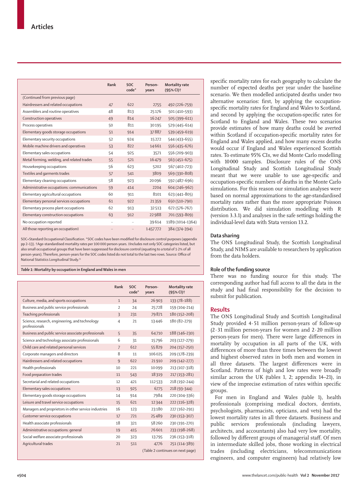|                                            | Rank | <b>SOC</b><br>code* | Person-<br>years | <b>Mortality rate</b><br>(95% CI) <sup>+</sup> |
|--------------------------------------------|------|---------------------|------------------|------------------------------------------------|
| (Continued from previous page)             |      |                     |                  |                                                |
| Hairdressers and related occupations       | 47   | 622                 | 2755             | 492 (226-759)                                  |
| Assemblers and routine operatives          | 48   | 813                 | 25176            | 501 (410-593)                                  |
| Construction operatives                    | 49   | 814                 | 16247            | 505 (399-611)                                  |
| Process operatives                         | 50   | 811                 | 30195            | 529 (445-614)                                  |
| Elementary goods storage occupations       | 51   | 914                 | 37887            | 539 (459-619)                                  |
| Elementary security occupations            | 52   | 924                 | 15272            | 544 (433-655)                                  |
| Mobile machine drivers and operatives      | 53   | 822                 | 14661            | 556 (435-676)                                  |
| Elementary sales occupations               | 54   | 925                 | 3571             | 556 (209-903)                                  |
| Metal forming, welding, and related trades | 55   | 521                 | 16479            | 563 (451-675)                                  |
| Housekeeping occupations                   | 56   | 623                 | 5202             | 567 (402-723)                                  |
| Textiles and garments trades               | 57   | 541                 | 3809             | 569 (330-808)                                  |
| Elementary cleaning occupations            | 58   | 923                 | 20096            | 592 (487-696)                                  |
| Administrative occupations: communications | 59   | 414                 | 2204             | 604 (246-962)                                  |
| Elementary agricultural occupations        | 60   | 911                 | 8101             | 623 (441-805)                                  |
| Elementary personal services occupations   | 61   | 922                 | 21359            | 650 (510-790)                                  |
| Elementary process plant occupations       | 62   | 913                 | 32513            | 672 (576-767)                                  |
| Elementary construction occupations        | 63   | 912                 | 22988            | 701 (593-809)                                  |
| No occupation reported                     |      |                     | 39614            | 1189 (1014-1364)                               |
| All those reporting an occupation‡         |      | $\cdot$ .           | 1457772          | 384 (374-394)                                  |

SOC=Standard Occupational Classification. \*SOC codes have been modified for disclosure control purposes (appendix pp 2–13). †Age-standardised mortality rates per 100000 person-years. ‡Includes not only SOC categories listed, but also small occupational groups that have been suppressed for disclosure control (equating to a total of 1·2% of all person-years). Therefore, person-years for the SOC codes listed do not total to the last two rows. Source: Office of National Statistics Longitudinal Study.25

*Table 1***: Mortality by occupation in England and Wales in men**

|                                                                 | Rank           | <b>SOC</b><br>code* | Person-<br>years | <b>Mortality rate</b><br>(95% CI) <sup>+</sup> |
|-----------------------------------------------------------------|----------------|---------------------|------------------|------------------------------------------------|
| Culture, media, and sports occupations                          | $\mathbf{1}$   | 34                  | 26903            | 133 (78-188)                                   |
| Business and public service professionals                       | $\mathcal{P}$  | 24                  | 25728            | 159 (104-214)                                  |
| Teaching professionals                                          | 3              | 231                 | 79871            | 180 (152-208)                                  |
| Science, research, engineering, and technology<br>professionals | $\overline{4}$ | 21                  | 13446            | 180 (82-279)                                   |
| Business and public service associate professionals             | 5              | 35                  | 64710            | 188 (146-230)                                  |
| Science and technology associate professionals                  | 6              | 31                  | 15796            | 203 (127-279)                                  |
| Child care and related personal services                        | $\overline{7}$ | 612                 | 55829            | 204 (157-250)                                  |
| Corporate managers and directors                                | 8              | 11                  | 106 025          | 209 (178-239)                                  |
| Hairdressers and related occupations                            | 9              | 622                 | 21910            | 209 (142-277)                                  |
| Health professionals                                            | 10             | 221                 | 10099            | 213 (107-318)                                  |
| Food preparation trades                                         | 11             | 543                 | 18319            | 217 (153-281)                                  |
| Secretarial and related occupations                             | 12             | 421                 | 112533           | 218 (192-244)                                  |
| Elementary sales occupations                                    | 13             | 925                 | 6775             | 218 (93-344)                                   |
| Elementary goods storage occupations                            | 14             | 914                 | 7984             | 220 (104-336)                                  |
| Leisure and travel service occupations                          | 15             | 621                 | 12344            | 222 (116-328)                                  |
| Managers and proprietors in other service industries            | 16             | 123                 | 23180            | 227 (162-291)                                  |
| Customer service occupations                                    | 17             | 721                 | 25489            | 230 (153-307)                                  |
| Health associate professionals                                  | 18             | 321                 | 58260            | 230 (191-270)                                  |
| Administrative occupations: general                             | 19             | 415                 | 76601            | 233 (198-268)                                  |
| Social welfare associate professionals                          | 20             | 323                 | 13795            | 236 (153-318)                                  |
| Agricultural trades                                             | 21             | 511                 | 4776             | 251 (114-389)                                  |
|                                                                 |                |                     |                  | (Table 2 continues on next page)               |

specific mortality rates for each geography to calculate the number of expected deaths per year under the baseline scenario. We then modelled anticipated deaths under two alternative scenarios: first, by applying the occupationspecific mortality rates for England and Wales to Scotland, and second by applying the occupation-specific rates for Scotland to England and Wales. These two scenarios provide estimates of how many deaths could be averted within Scotland if occupation-specific mortality rates for England and Wales applied, and how many excess deaths would occur if England and Wales experienced Scottish rates. To estimate 95% CIs, we did Monte Carlo modelling with 10000 samples. Disclosure rules of the ONS Longitudinal Study and Scottish Longitudinal Study meant that we were unable to use age-specific and occupation-specific numbers of deaths in the Monte Carlo simulations. For this reason our simulation analyses were based on normal approximations to the age-standardised mortality rates rather than the more appropriate Poisson distribution. We did simulation modelling with R (version 3.3.1) and analyses in the safe settings holding the individual-level data with Stata version 13.2.

## **Data sharing**

The ONS Longitudinal Study, the Scottish Longitudinal Study, and NIMS are available to researchers by application from the data holders.

## **Role of the funding source**

There was no funding source for this study. The corresponding author had full access to all the data in the study and had final responsibility for the decision to submit for publication.

## **Results**

The ONS Longitudinal Study and Scottish Longitudinal Study provided 4·51 million person-years of follow-up (2·31 million person-years for women and 2·20 million person-years for men). There were large differences in mortality by occupation in all parts of the UK, with differences of more than three times between the lowest and highest observed rates in both men and women in all three datasets. The largest differences were in Scotland. Patterns of high and low rates were broadly similar across the UK (tables 1, 2; appendix 14–21), in view of the imprecise estimation of rates within specific groups.

For men in England and Wales (table 1), health professionals (comprising medical doctors, dentists, psychologists, pharmacists, opticians, and vets) had the lowest mortality rates in all three datasets. Business and public services professionals (including lawyers, architects, and accountants) also had very low mortality, followed by different groups of managerial staff. Of men in intermediate skilled jobs, those working in electrical trades (including electricians, telecommunications engineers, and computer engineers) had relatively low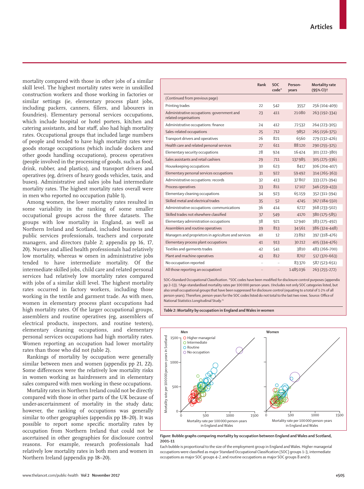mortality compared with those in other jobs of a similar skill level. The highest mortality rates were in unskilled construction workers and those working in factories or similar settings (ie, elementary process plant jobs, including packers, canners, fillers, and labourers in foundries). Elementary personal services occupations, which include hospital or hotel porters, kitchen and catering assistants, and bar staff, also had high mortality rates. Occupational groups that included large numbers of people and tended to have high mortality rates were goods storage occupations (which include dockers and other goods handling occupations), process operatives (people involved in the processing of goods, such as food, drink, rubber, and plastics), and transport drivers and operatives (eg, drivers of heavy goods vehicles, taxis, and buses). Administrative and sales jobs had intermediate mortality rates. The highest mortality rates overall were in men who reported no occupation (table 1).

Among women, the lower mortality rates resulted in some variability in the ranking of some smaller occupational groups across the three datasets. The groups with low mortality in England, as well as Northern Ireland and Scotland, included business and public services professionals, teachers and corporate managers, and directors (table 2; appendix pp 16, 17, 20). Nurses and allied health professionals had relatively low mortality, whereas w omen in administrative jobs tended to have intermediate mortality. Of the intermediate skilled jobs, child care and related personal services had relatively low mortality rates compared with jobs of a similar skill level. The highest mortality rates occurred in factory workers, including those working in the textile and garment trade. As with men, women in elementary process plant occupations had high mortality rates. Of the larger occupational groups, assemblers and routine operatives (eg, assemblers of electrical products, inspectors, and routine testers), elementary cleaning occupations, and elementary personal services occupations had high mortality rates. Women reporting an occupation had lower mortality rates than those who did not (table 2).

Rankings of mortality by occupation were generally similar between men and women (appendix pp 21, 22). Some differences were the relatively low mortality risks in women working as hairdressers and in elementary sales compared with men working in these occupations.

Mortality rates in Northern Ireland could not be directly compared with those in other parts of the UK because of under-ascertainment of mortality in the study data; however, the ranking of occupations was generally similar to other geographies (appendix pp 18–20). It was possible to report some specific mortality rates by occupation from Northern Ireland that could not be ascertained in other geographies for disclosure control reasons. For example, research professionals had relatively low mortality rates in both men and women in Northern Ireland (appendix pp 18–20).

|                                                                     | Rank | SOC.<br>code* | Person-<br>years | <b>Mortality rate</b><br>$(95% CI)$ <sup>+</sup> |
|---------------------------------------------------------------------|------|---------------|------------------|--------------------------------------------------|
| (Continued from previous page)                                      |      |               |                  |                                                  |
| Printing trades                                                     | 22   | 542           | 3557             | 256 (104-409)                                    |
| Administrative occupations: government and<br>related organisations | 23   | 411           | 21080            | 263 (192-334)                                    |
| Administrative occupations: finance                                 | 24   | 412           | 72532            | 264 (223-305)                                    |
| Sales-related occupations                                           | 25   | 712           | 9852             | 265 (156-375)                                    |
| Transport drivers and operatives                                    | 26   | 821           | 6560             | 279 (132-426)                                    |
| Health care and related personal services                           | 27   | 611           | 88120            | 290 (255-325)                                    |
| Elementary security occupations                                     | 28   | 924           | 16424            | 301 (222-380)                                    |
| Sales assistants and retail cashiers                                | 29   | 711           | 137985           | 305 (275-336)                                    |
| Housekeeping occupations                                            | 30   | 623           | 8417             | 306 (204-407)                                    |
| Elementary personal services occupations                            | 31   | 922           | 59492            | 314 (265-363)                                    |
| Administrative occupations: records                                 | 32   | 413           | 37807            | 333 (271-394)                                    |
| Process operatives                                                  | 33   | 811           | 17107            | 346 (259-433)                                    |
| Elementary cleaning occupations                                     | 34   | 923           | 65159            | 352 (311-394)                                    |
| Skilled metal and electrical trades                                 | 35   | 52            | 4745             | 367 (184-550)                                    |
| Administrative occupations: communications                          | 36   | 414           | 6727             | 368 (233-502)                                    |
| Skilled trades not elsewhere classified                             | 37   | 549           | 4170             | 380 (175-585)                                    |
| Elementary administration occupations                               | 38   | 921           | 12940            | 383 (275-492)                                    |
| Assemblers and routine operatives                                   | 39   | 813           | 34561            | 386 (324-448)                                    |
| Managers and proprietors in agriculture and services                | 40   | 12            | 23892            | 397 (318-476)                                    |
| Elementary process plant occupations                                | 41   | 913           | 30212            | 405 (334-476)                                    |
| Textiles and garments trades                                        | 42   | 541           | 3810             | 483 (266-700)                                    |
| Plant and machine operatives                                        | 43   | 812           | 8707             | 517 (370-663)                                    |
| No occupation reported                                              |      |               | 83370            | 587 (523-651)                                    |
| All those reporting an occupation‡                                  |      |               | 1485036          | 263 (255-272)                                    |

SOC=Standard Occupational Classification. \*SOC codes have been modified for disclosure control purposes (appendix pp 2–13). †Age-standardised mortality rates per 100000 person-years. ‡Includes not only SOC categories listed, but also small occupational groups that have been suppressed for disclosure control (equating to a total of 1·2% of all person-years). Therefore, person-years for the SOC codes listed do not total to the last two rows. Source: Office of National Statistics Longitudinal Study.25

*Table 2***: Mortality by occupation in England and Wales in women**



#### *Figure***: Bubble graphs comparing mortality by occupation between England and Wales and Scotland, 2001–11**

Each bubble is proportional to the size of the employment group in England and Wales. Higher managerial occupations were classified as major Standard Occupational Classification [SOC] groups 1–3, intermediate occupations as major SOC groups 4–7, and routine occupations as major SOC groups 8 and 9.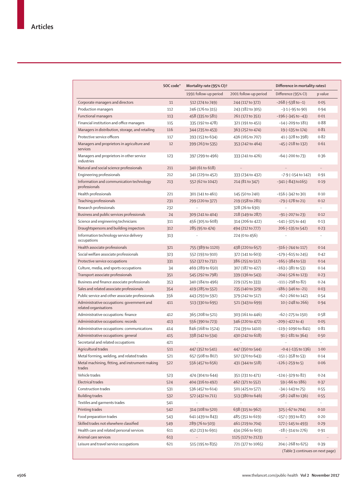|                                                                     | SOC code* | Mortality rate (95% CI) <sup>+</sup> |                       | Difference in mortality rates‡ |          |  |
|---------------------------------------------------------------------|-----------|--------------------------------------|-----------------------|--------------------------------|----------|--|
|                                                                     |           | 1991 follow-up period                | 2001 follow-up period | Difference (95% CI)            | p value  |  |
| Corporate managers and directors                                    | 11        | 512 (274 to 749)                     | 244 (117 to 372)      | $-268$ ( $-538$ to $-1$ )      | 0.05     |  |
| Production managers                                                 | 112       | 246 (176 to 315)                     | 243 (182 to 305)      | $-3.1$ ( $-95$ to $90$ )       | 0.94     |  |
| Functional managers                                                 | 113       | 458 (335 to 581)                     | 261 (172 to 351)      | $-196$ ( $-345$ to $-43$ )     | 0.01     |  |
| Financial institution and office managers                           | 115       | 335 (192 to 478)                     | 321 (191 to 451)      | $-14$ ( $-209$ to $181$ )      | 0.88     |  |
| Managers in distribution, storage, and retailing                    | 116       | 344 (235 to 453)                     | 363 (252 to 474)      | 19 (-135 to 174)               | 0.81     |  |
| Protective service officers                                         | 117       | 393 (153 to 634)                     | 436 (165 to 707)      | 41 (-328 to 398)               | 0.82     |  |
| Managers and proprietors in agriculture and<br>services             | 12        | 399 (263 to 535)                     | 353 (242 to 464)      | $-45$ ( $-218$ to 132)         | 0.61     |  |
| Managers and proprietors in other service<br>industries             | 123       | 397 (299 to 496)                     | 333 (241 to 426)      | $-64$ ( $-200$ to $73$ )       | 0.36     |  |
| Natural and social science professionals                            | 211       | 340 (61 to 618)                      | $\ldots$              | $\ddotsc$                      | $\ldots$ |  |
| Engineering professionals                                           | 212       | 341 (229 to 452)                     | 333 (234 to 432)      | $-7.9$ ( $-154$ to $142$ )     | 0.91     |  |
| Information and communication technology<br>professionals           | 213       | 552 (62 to 1042)                     | 214 (81 to 347)       | $-341 (-843 \text{ to} 165)$   | 0.19     |  |
| Health professionals                                                | 221       | 301 (141 to 461)                     | 145 (50 to 240)       | $-156$ ( $-342$ to 30)         | 0.10     |  |
| Teaching professionals                                              | 231       | 299 (220 to 377)                     | 219 (158 to 281)      | $-79$ ( $-178$ to 21)          | 0.12     |  |
| Research professionals                                              | 232       | $\ldots$                             | 328 (26 to 630)       | $\ddotsc$                      | $\ldots$ |  |
| Business and public services professionals                          | 24        | 309 (241 to 404)                     | 218 (149 to 287)      | $-91$ ( $-207$ to 23)          | 0.12     |  |
| Science and engineering technicians                                 | 311       | 456 (305 to 608)                     | 314 (206 to 422)      | $-141$ ( $-325$ to $44$ )      | 0.13     |  |
| Draughtspersons and building inspectors                             | 312       | 285 (95 to 474)                      | 494 (212 to 777)      | 206 (-135 to 542)              | 0.23     |  |
| Information technology service delivery<br>occupations              | 313       |                                      | 224 (0 to 456)        |                                | $\ldots$ |  |
| Health associate professionals                                      | 321       | 755 (389 to 1120)                    | 438 (220 to 657)      | $-316$ ( $-744$ to 117)        | 0.14     |  |
| Social welfare associate professionals                              | 323       | 552 (193 to 910)                     | 372 (141 to 603)      | $-179$ ( $-615$ to 245)        | 0.42     |  |
| Protective service occupations                                      | 331       | 552 (372 to 732)                     | 386 (255 to 517)      | $-165$ ( $-384$ to 53)         | 0.14     |  |
| Culture, media, and sports occupations                              | 34        | 469 (289 to 650)                     | 307 (187 to 427)      | $-163$ ( $-381$ to 53)         | 0.14     |  |
| Transport associate professionals                                   | 351       | 545 (292 to 798)                     | 339 (136 to 543)      | $-204 (-526 to 123)$           | 0.23     |  |
| Business and finance associate professionals                        | 353       | 340 (184 to 496)                     | 229 (125 to 333)      | $-111$ ( $-298$ to 82)         | 0.24     |  |
| Sales and related associate professionals                           | 354       | 419 (285 to 552)                     | 235 (140 to 329)      | $-186$ ( $-346$ to $-21$ )     | 0.03     |  |
| Public service and other associate professionals                    | 356       | 443 (293 to 592)                     | 379 (242 to 517)      | $-62$ ( $-260$ to 142)         | 0.54     |  |
| Administrative occupations: government and<br>related organisations | 411       | 513 (330 to 695)                     | 521 (343 to 699)      | 10 (-248 to 266)               | 0.94     |  |
| Administrative occupations: finance                                 | 412       | 365 (208 to 521)                     | 303 (161 to 446)      | $-62$ ( $-275$ to 150)         | 0.58     |  |
| Administrative occupations: records                                 | 413       | 556 (390 to 723)                     | 346 (220 to 472)      | $-209$ $(-422$ to 4)           | 0.05     |  |
| Administrative occupations: communications                          | 414       | 846 (168 to 1524)                    | 724 (39 to 1410)      | -119 (-1090 to 841)            | 0.81     |  |
| Administrative occupations: general                                 | 415       | 338 (142 to 534)                     | 430 (242 to 618)      | 91 (-181 to 364)               | 0.50     |  |
| Secretarial and related occupations                                 | 421       |                                      |                       |                                | $\ldots$ |  |
| Agricultural trades                                                 | 511       | 447 (352 to 541)                     | 447 (350 to 544)      | $-0.4$ ( $-135$ to 136)        | 1.00     |  |
| Metal forming, welding, and related trades                          | 521       | 657 (508 to 807)                     | 507 (370 to 643)      | $-151$ ( $-358$ to 53)         | 0.14     |  |
| Metal machining, fitting, and instrument making<br>trades           | 522       | 556 (457 to 656)                     | 431 (344 to 518)      | $-126$ ( $-259$ to 5)          | 0.06     |  |
| Vehicle trades                                                      | 523       | 474 (304 to 644)                     | 351 (231 to 471)      | $-124 (-329 to 82)$            | 0.24     |  |
| <b>Electrical trades</b>                                            | 524       | 404 (316 to 492)                     | 462 (371 to 552)      | 59 (-66 to 186)                | 0.37     |  |
| Construction trades                                                 | 531       | 536 (457 to 614)                     | 501 (425 to 577)      | $-34$ ( $-143$ to 75)          | 0.55     |  |
| <b>Building trades</b>                                              | 532       | 572 (432 to 711)                     | 513 (380 to 646)      | -58 (-248 to 136)              | 0.55     |  |
| Textiles and garments trades                                        | 541       | $\ldots$                             | $\cdot$               | $\cdot$ .                      | $\cdots$ |  |
| Printing trades                                                     | 542       | 314 (108 to 520)                     | 638 (315 to 962)      | 325 (-67 to 704)               | 0.10     |  |
| Food preparation trades                                             | 543       | 641 (439 to 843)                     | 485 (351 to 619)      | $-157$ ( $-393$ to 87)         | 0.20     |  |
| Skilled trades not elsewhere classified                             | 549       | 289 (76 to 503)                      | 461 (219 to 704)      | 172 (-145 to 493)              | 0.29     |  |
| Health care and related personal services                           | 611       | 452 (213 to 691)                     | 434 (266 to 603)      | $-18$ ( $-314$ to 276)         | 0.91     |  |
| Animal care services                                                | 613       | $\ddots$                             | 1125 (127 to 2123)    |                                |          |  |
| Leisure and travel service occupations                              | 621       | 515 (195 to 835)                     | 721 (377 to 1065)     | 204 (-268 to 675)              | 0.39     |  |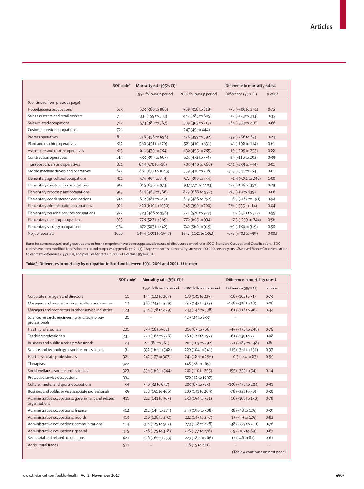|                                          | SOC code* | Mortality rate (95% CI) <sup>+</sup> |                       | Difference in mortality rates‡ |         |
|------------------------------------------|-----------|--------------------------------------|-----------------------|--------------------------------|---------|
|                                          |           | 1991 follow-up period                | 2001 follow-up period | Difference (95% CI)            | p value |
| (Continued from previous page)           |           |                                      |                       |                                |         |
| Housekeeping occupations                 | 623       | 623 (380 to 866)                     | 568 (318 to 818)      | $-56$ ( $-400$ to 291)         | 0.76    |
| Sales assistants and retail cashiers     | 711       | 331 (159 to 503)                     | 444 (283 to 605)      | 112 (-123 to 343)              | 0.35    |
| Sales-related occupations                | 712       | 573 (380 to 767)                     | 509 (303 to 715)      | $-64$ ( $-353$ to 216)         | 0.66    |
| Customer service occupations             | 721       | $\ddotsc$                            | 247 (49 to 444)       | $\ddotsc$                      |         |
| Process operatives                       | 811       | 576 (456 to 696)                     | 476 (359 to 592)      | $-99$ ( $-266$ to 67)          | 0.24    |
| Plant and machine operatives             | 812       | 560 (451 to 670)                     | 521 (410 to 631)      | $-41$ ( $-198$ to 114)         | 0.61    |
| Assemblers and routine operatives        | 813       | 611 (439 to 784)                     | 630 (495 to 785)      | 19 (-209 to 253)               | 0.88    |
| Construction operatives                  | 814       | 533 (399 to 667)                     | 623 (472 to 774)      | 89 (-116 to 292)               | 0.39    |
| Transport drivers and operatives         | 821       | 644 (570 to 718)                     | 503 (440 to 566)      | $-141$ ( $-239$ to $-44$ )     | 0.01    |
| Mobile machine drivers and operatives    | 822       | 861 (677 to 1045)                    | 559 (410 to 708)      | $-303$ ( $-541$ to $-64$ )     | 0.01    |
| Elementary agricultural occupations      | 911       | 574 (404 to 744)                     | 572 (390 to 754)      | $-1.4$ ( $-251$ to 246)        | 1.00    |
| Elementary construction occupations      | 912       | 815 (656 to 973)                     | 937 (771 to 1103)     | 122 (-106 to 351)              | 0.29    |
| Elementary process plant occupations     | 913       | 614 (463 to 766)                     | 829 (666 to 992)      | 215 (-10 to 439)               | 0.06    |
| Elementary goods storage occupations     | 914       | 612 (481 to 743)                     | 619 (486 to 752)      | $6.5$ (-182 to 191)            | 0.94    |
| Elementary administration occupations    | 921       | 820 (610 to 1030)                    | 545 (390 to 700)      | $-276$ ( $-535$ to $-14$ )     | 0.04    |
| Elementary personal services occupations | 922       | 723 (488 to 958)                     | 724 (520 to 927)      | 1.2 (-311 to 312)              | 0.99    |
| Elementary cleaning occupations          | 923       | 778 (587 to 969)                     | 770 (605 to 934)      | $-7.3$ ( $-259$ to 244)        | 0.96    |
| Elementary security occupations          | 924       | 672 (503 to 842)                     | 740 (560 to 919)      | 69 (-180 to 319)               | 0.58    |
| No job reported                          | 1000      | 1494 (1391 to 1597)                  | 1242 (1131 to 1352)   | $-252$ ( $-402$ to $-99$ )     | 0.002   |

Rates for some occupational groups at one or both timepoints have been suppressed because of disclosure control rules. SOC=Standard Occupational Classification. \*SOC codes have been modified for disclosure control purposes (appendix pp 2–13). †Age-standardised mortality rates per 100 000 person-years. ‡We used Monte Carlo simulation to estimate differences, 95% CIs, and p values for rates in 2001–11 versus 1991–2001.

*Table 3***: Differences in mortality by occupation in Scotland between 1991–2001 and 2001–11 in men**

|                                                                     | SOC code* |                       | Mortality rate (95% CI) <sup>+</sup> |                                  | Difference in mortality rates‡ |  |
|---------------------------------------------------------------------|-----------|-----------------------|--------------------------------------|----------------------------------|--------------------------------|--|
|                                                                     |           | 1991 follow-up period | 2001 follow-up period                | Difference (95% CI)              | p value                        |  |
| Corporate managers and directors                                    | 11        | 194 (122 to 267)      | 178 (131 to 225)                     | $-16$ ( $-102$ to $71$ )         | 0.73                           |  |
| Managers and proprietors in agriculture and services                | 12        | 386 (243 to 529)      | 236 (147 to 325)                     | $-148$ ( $-316$ to 18)           | 0.08                           |  |
| Managers and proprietors in other service industries                | 123       | 304 (178 to 429)      | 243 (148 to 338)                     | $-61$ ( $-216$ to 96)            | 0.44                           |  |
| Science, research, engineering, and technology<br>professionals     | 21        | $\ddot{\phantom{a}}$  | 429 (24 to 833)                      |                                  | $\ddotsc$                      |  |
| Health professionals                                                | 221       | 259 (16 to 502)       | 215 (63 to 366)                      | $-45$ ( $-336$ to 248)           | 0.76                           |  |
| Teaching professionals                                              | 231       | 220 (164 to 276)      | 160 (122 to 197)                     | $-61$ ( $-130$ to $7$ )          | 0.08                           |  |
| Business and public service professionals                           | 24        | 221 (80 to 361)       | 201 (109 to 292)                     | $-21$ ( $-189$ to $148$ )        | 0.80                           |  |
| Science and technology associate professionals                      | 31        | 332 (166 to 548)      | 220 (104 to 341)                     | $-115$ ( $-361$ to 131)          | 0.37                           |  |
| Health associate professionals                                      | 321       | 242 (177 to 307)      | 241 (186 to 296)                     | $-0.3$ ( $-84$ to 83)            | 0.99                           |  |
| Therapists                                                          | 322       |                       | 148 (28 to 269)                      |                                  |                                |  |
| Social welfare associate professionals                              | 323       | 356 (169 to 544)      | 202 (110 to 295)                     | $-155$ ( $-359$ to $54$ )        | 0.14                           |  |
| Protective service occupations                                      | 331       |                       | 570 (42 to 1097)                     |                                  |                                |  |
| Culture, media, and sports occupations                              | 34        | 340 (32 to 647)       | 203 (83 to 323)                      | $-136 (-470 to 203)$             | 0.41                           |  |
| Business and public service associate professionals                 | 35        | 278 (151 to 406)      | 200 (131 to 269)                     | $-78$ ( $-222$ to $70$ )         | 0.30                           |  |
| Administrative occupations: government and related<br>organisations | 411       | 222 (141 to 303)      | 238 (154 to 321)                     | 16 (-100 to 130)                 | 0.78                           |  |
| Administrative occupations: finance                                 | 412       | 212 (149 to 274)      | 249 (190 to 308)                     | 38 (-48 to 125)                  | 0.39                           |  |
| Administrative occupations: records                                 | 413       | 210 (128 to 292)      | 222 (147 to 297)                     | 13 (-99 to 125)                  | 0.82                           |  |
| Administrative occupations: communications                          | 414       | 314 (125 to 502)      | 273 (118 to 428)                     | $-38$ ( $-279$ to 210)           | 0.76                           |  |
| Administrative occupations: general                                 | 415       | 246 (175 to 318)      | 226 (177 to 276)                     | $-19$ ( $-107$ to 69)            | 0.67                           |  |
| Secretarial and related occupations                                 | 421       | 206 (160 to 253)      | 223 (180 to 266)                     | 17 (-46 to 81)                   | 0.61                           |  |
| Agricultural trades                                                 | 511       | $\ldots$              | 118 (15 to 221)                      |                                  | $\ddotsc$                      |  |
|                                                                     |           |                       |                                      | (Table 4 continues on next page) |                                |  |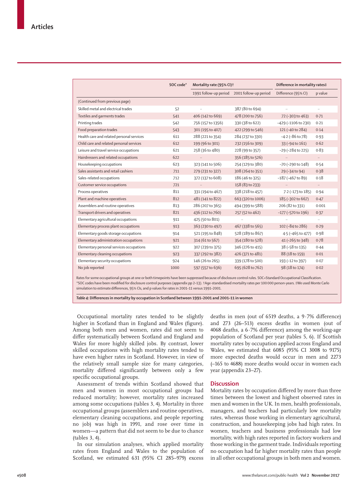|                                           | SOC code* | Mortality rate (95% CI) <sup>+</sup> |                                             | Difference in mortality rates‡ |           |  |
|-------------------------------------------|-----------|--------------------------------------|---------------------------------------------|--------------------------------|-----------|--|
|                                           |           |                                      | 1991 follow-up period 2001 follow-up period | Difference (95% CI)            | p value   |  |
| (Continued from previous page)            |           |                                      |                                             |                                |           |  |
| Skilled metal and electrical trades       | 52        | $\ddotsc$                            | 387 (80 to 694)                             |                                | $\ldots$  |  |
| Textiles and garments trades              | 541       | 406 (142 to 669)                     | 478 (200 to 756)                            | 72 (-303 to 463)               | 0.71      |  |
| Printing trades                           | 542       | 756 (157 to 1356)                    | 330 (38 to 622)                             | -429 (-1106 to 230)            | 0.21      |  |
| Food preparation trades                   | 543       | 301 (195 to 407)                     | 422 (299 to 546)                            | 121 (-40 to 284)               | 0.14      |  |
| Health care and related personal services | 611       | 288 (221 to 354)                     | 284 (237 to 330)                            | $-4.2$ ( $-86$ to $78$ )       | 0.93      |  |
| Child care and related personal services  | 612       | 199 (96 to 301)                      | 232 (156 to 309)                            | 33 (-94 to 161)                | 0.62      |  |
| Leisure and travel service occupations    | 621       | 258 (36 to 480)                      | 228 (99 to 357)                             | $-29$ ( $-284$ to 225)         | 0.83      |  |
| Hairdressers and related occupations      | 622       |                                      | 356 (185 to 526)                            | $\ldots$                       | $\ddotsc$ |  |
| Housekeeping occupations                  | 623       | 323 (141 to 506)                     | 254 (129 to 380)                            | -70 (-290 to 148)              | 0.54      |  |
| Sales assistants and retail cashiers      | 711       | 279 (231 to 327)                     | 308 (264 to 351)                            | 29 (-34 to 94)                 | 0.38      |  |
| Sales-related occupations                 | 712       | 372 (137 to 608)                     | 186 (46 to 325)                             | $-187$ ( $-467$ to 89)         | 0.18      |  |
| Customer service occupations              | 721       | $\ldots$                             | 158 (83 to 233)                             | $\ldots$                       | $\ldots$  |  |
| Process operatives                        | 811       | 331 (194 to 467)                     | 338 (218 to 457)                            | 7.2 (-173 to 185)              | 0.94      |  |
| Plant and machine operatives              | 812       | 481 (141 to 822)                     | 663 (320 to 1006)                           | 185 (-302 to 667)              | 0.47      |  |
| Assemblers and routine operatives         | 813       | 286 (207 to 365)                     | 494 (399 to 588)                            | 206 (82 to 331)                | 0.001     |  |
| Transport drivers and operatives          | 821       | 436 (112 to 760)                     | 257 (52 to 462)                             | $-177$ ( $-570$ to 196)        | 0.37      |  |
| Elementary agricultural occupations       | 911       | 425 (50 to 801)                      |                                             |                                | $\ldots$  |  |
| Elementary process plant occupations      | 913       | 363 (230 to 497)                     | 467 (338 to 565)                            | 102 (-84 to 286)               | 0.29      |  |
| Elementary goods storage occupations      | 914       | 521 (195 to 848)                     | 528 (189 to 867)                            | 4.5 (-465 to 477)              | 0.98      |  |
| Elementary administration occupations     | 921       | 314 (61 to 567)                      | 354 (180 to 528)                            | 41 (-265 to 348)               | 0.78      |  |
| Elementary personal services occupations  | 922       | 307 (239 to 375)                     | 346 (276 to 415)                            | 38 (-58 to 135)                | 0.44      |  |
| Elementary cleaning occupations           | 923       | 337 (292 to 382)                     | 426 (371 to 481)                            | 88 (18 to 159)                 | 0.01      |  |
| Elementary security occupations           | 924       | 146 (26 to 265)                      | 339 (178 to 500)                            | 193 (-12 to 397)               | 0.07      |  |
| No job reported                           | 1000      | 597 (557 to 636)                     | 695 (628 to 762)                            | 98 (18 to 174)                 | 0.02      |  |

Rates for some occupational groups at one or both timepoints have been suppressed because of disclosure control rules. SOC=Standard Occupational Classification. \*SOC codes have been modified for disclosure control purposes (appendix pp 2–13). †Age-standardised mortality rates per 100000 person-years. ‡We used Monte Carlo simulation to estimate differences, 95% CIs, and p values for rates in 2001–11 versus 1991–2001.

*Table 4***: Differences in mortality by occupation in Scotland between 1991–2001 and 2001–11 in women**

Occupational mortality rates tended to be slightly higher in Scotland than in England and Wales (figure). Among both men and women, rates did not seem to differ systematically between Scotland and England and Wales for more highly skilled jobs. By contrast, lower skilled occupations with high mortality rates tended to have even higher rates in Scotland. However, in view of the relatively small sample size for many categories, mortality differed significantly between only a few specific occupational groups.

Assessment of trends within Scotland showed that men and women in most occupational groups had reduced mortality; however, mortality rates increased among some occupations (tables 3, 4). Mortality in three occupational groups (assemblers and routine operatives, elementary cleaning occupations, and people reporting no job) was high in 1991, and rose over time in women—a pattern that did not seem to be due to chance (tables 3, 4).

In our simulation analyses, which applied mortality rates from England and Wales to the population of Scotland, we estimated 631 (95% CI 285–979) excess deaths in men (out of 6519 deaths, a 9·7% difference) and 273 (26–513) excess deaths in women (out of 4068 deaths, a 6·7% difference) among the working-age population of Scotland per year (tables 5, 6). If Scottish mortality rates by occupation applied across England and Wales, we estimated that 6085 (95% CI 3008 to 9175) more expected deaths would occur in men and 2273 (–165 to 4688) more deaths would occur in women each year (appendix 23–27).

## **Discussion**

Mortality rates by occupation differed by more than three times between the lowest and highest observed rates in men and women in the UK. In men, health professionals, managers, and teachers had particularly low mortality rates, whereas those working in elementary agricultural, construction, and housekeeping jobs had high rates. In women, teachers and business professionals had low mortality, with high rates reported in factory workers and those working in the garment trade. Individuals reporting no occupation had far higher mortality rates than people in all other occupational groups in both men and women.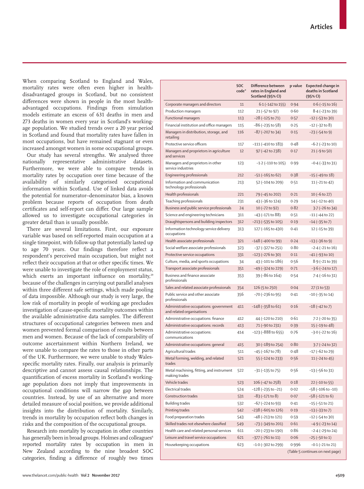www.thelancet.com/public-health **Vol 2 November 2017 e509**

When comparing Scotland to England and Wales, mortality rates were often even higher in healthdisadvantaged groups in Scotland, but no consistent differences were shown in people in the most healthadvantaged occupations. Findings from simulation models estimate an excess of 631 deaths in men and 273 deaths in women every year in Scotland's workingage population. We studied trends over a 20 year period in Scotland and found that mortality rates have fallen in most occupations, but have remained stagnant or even increased amongst women in some occupational groups.

Our study has several strengths. We analysed three nationally representative administrative datasets. Furthermore, we were able to compare trends in mortality rates by occupation over time because of the availability of similarly categorised occupational information within Scotland. Use of linked data avoids the potential for numerator–denominator bias, a known problem because reports of occupation from death certificates and self-report can differ. Our large sample allowed us to investigate occupational categories in greater detail than is usually possible.

There are several limitations. First, our exposure variable was based on self-reported main occupation at a single timepoint, with follow-up that potentially lasted up to age 70 years. Our findings therefore reflect a respondent's perceived main occupation, but might not reflect their occupation at that or other specific times. We were unable to investigate the role of employment status, which exerts an important influence on mortality,<sup>29</sup> because of the challenges in carrying out parallel analyses within three different safe settings, which made pooling of data impossible. Although our study is very large, the low risk of mortality in people of working age precludes investigation of cause-specific mortality outcomes within the available administrative data samples. The different structures of occupational categories between men and women prevented formal comparison of results between men and women. Because of the lack of comparability of outcome ascertainment within Northern Ireland, we were unable to compare the rates to those in other parts of the UK. Furthermore, we were unable to study Walesspecific mortality rates. Finally, our analysis is primarily descriptive and cannot assess causal relationships. The quantification of excess mortality in Scotland's workingage population does not imply that improvements in occupational conditions will narrow the gap between countries. Instead, by use of an alternative and more detailed measure of social position, we provide additional insights into the distribution of mortality. Similarly, trends in mortality by occupation reflect both changes in risks and the composition of the occupational groups.

Research into mortality by occupation in other countries has generally been in broad groups. Holmes and colleagues<sup>6</sup> reported mortality rates by occupation in men in New Zealand according to the nine broadest SOC categories, finding a difference of roughly two times

|                                                                     | <b>SOC</b><br>code* | Difference between<br>rates in England and<br>Scotland (95% CI) | p value | Expected change in<br>deaths in Scotland<br>(95% CI) |
|---------------------------------------------------------------------|---------------------|-----------------------------------------------------------------|---------|------------------------------------------------------|
| Corporate managers and directors                                    | 11                  | $6·1$ (-142 to 155)                                             | 0.94    | $0.6$ ( $-15$ to $16$ )                              |
| Production managers                                                 | 112                 | 21 (-57 to 97)                                                  | 0.60    | $8.4$ (-23 to 39)                                    |
| Functional managers                                                 | 113                 | $-28$ ( $-125$ to $71$ )                                        | 0.57    | $-12$ ( $-53$ to 30)                                 |
| Financial institution and office managers                           | 115                 | $-86$ ( $-235$ to $58$ )                                        | 0.25    | $-12$ ( $-32$ to 8)                                  |
| Managers in distribution, storage, and<br>retailing                 | 116                 | $-87$ ( $-207$ to 34)                                           | 0.15    | $-23$ ( $-54$ to 9)                                  |
| Protective service officers                                         | 117                 | -111 (-410 to 183)                                              | 0.48    | $-6.2$ ( $-23$ to 10)                                |
| Managers and proprietors in agriculture<br>and services             | 12                  | 97 (-42 to 238)                                                 | 0.17    | 21 (-9 to 50)                                        |
| Managers and proprietors in other<br>service industries             | 123                 | $-1.2$ ( $-110$ to $105$ )                                      | 0.99    | $-0.4$ ( $-33$ to 31)                                |
| Engineering professionals                                           | 212                 | -51 (-165 to 62)                                                | 0.38    | -15 (-49 to 18)                                      |
| Information and communication<br>technology professionals           | 213                 | 52 (-104 to 209)                                                | 0.51    | 11 (-21 to 42)                                       |
| Health professionals                                                | 221                 | 79 (-45 to 202)                                                 | 0.21    | 10 (-6 to 27)                                        |
| Teaching professionals                                              | 231                 | 43 (-36 to 124)                                                 | 0.29    | 14 (-12 to 40)                                       |
| Business and public service professionals                           | 24                  | 10 (-72 to 92)                                                  | 0.82    | $3.7$ (-26 to 34)                                    |
| Science and engineering technicians                                 | 311                 | -43 (-171 to 88)                                                | 0.51    | $-11$ ( $-44$ to 22)                                 |
| Draughtspersons and building inspectors                             | 312                 | $-213$ ( $-535$ to 105)                                         | 0.19    | $-14 (-35 to 7)$                                     |
| Information technology service delivery<br>occupations              | 313                 | 127 (-165 to 430)                                               | 0.41    | 12 (-15 to 39)                                       |
| Health associate professionals                                      | 321                 | $-148$ ( $-400$ to 99)                                          | 0.24    | $-13$ ( $-36$ to 9)                                  |
| Social welfare associate professionals                              | 323                 | $-37$ ( $-327$ to $251$ )                                       | 0.80    | $-2.4$ ( $-21$ to $16$ )                             |
| Protective service occupations                                      | 331                 | $-123$ ( $-276$ to 30)                                          | 0.11    | $-41$ ( $-93$ to 10)                                 |
| Culture, media, and sports occupations                              | 34                  | 43 (-101 to 186)                                                | 0.56    | 8.9 (-21 to 39)                                      |
| Transport associate professionals                                   | 351                 | -49 (-324 to 229)                                               | 0.71    | $-3.6$ ( $-24$ to 17)                                |
| Business and finance associate<br>professionals                     | 353                 | 39 (-86 to 164)                                                 | 0.54    | 7.4 (-16 to 31)                                      |
| Sales and related associate professionals                           | 354                 | 126 (5 to 250)                                                  | 0.04    | 27 (1 to 53)                                         |
| Public service and other associate<br>professionals                 | 356                 | -70 (-236 to 95)                                                | 0.41    | $-10$ ( $-35$ to 14)                                 |
| Administrative occupations: government<br>and related organisations | 411                 | $-148$ ( $-358$ to 61)                                          | 0.16    | $-18$ ( $-42$ to $7$ )                               |
| Administrative occupations: finance                                 | 412                 | 44 (-120 to 210)                                                | 0.61    | 7.2 (-20 to 35)                                      |
| Administrative occupations: records                                 | 413                 | 71 (-90 to 231)                                                 | 0.39    | 15 (-19 to 48)                                       |
| Administrative occupations:<br>communications                       | 414                 | $-123$ ( $-888$ to 655)                                         | 0.76    | $-3.0$ ( $-22$ to $16$ )                             |
| Administrative occupations: general                                 | 415                 | 30 (-189 to 254)                                                | 0.80    | 3.7 (-24 to 32)                                      |
| Agricultural trades                                                 | 511                 | $-45$ ( $-167$ to $78$ )                                        | 0.48    | $-17$ ( $-62$ to 29)                                 |
| Metal forming, welding, and related<br>trades                       | 521                 | 55 (-124 to 233)                                                | 0.56    | 11 (-24 to 45)                                       |
| Metal machining, fitting, and instrument<br>making trades           | 522                 | $-31$ ( $-135$ to 75)                                           | 0.56    | -13 (-56 to 31)                                      |
| Vehicle trades                                                      | 523                 | 106 (-47 to 258)                                                | 0.18    | 22 (-10 to 55)                                       |
| Electrical trades                                                   | 524                 | $-128 (-235 to -21)$                                            | 0.02    | $-58$ ( $-106$ to $-10$ )                            |
| <b>Construction trades</b>                                          | 531                 | $-83$ ( $-171$ to $8$ )                                         | 0.07    | $-58$ ( $-121$ to 6)                                 |
| <b>Building trades</b>                                              | 532                 | -67 (-224 to 93)                                                | 0.41    | $-15$ ( $-51$ to 21)                                 |
| Printing trades                                                     | 542                 | $-238 (-605 \text{ to } 126)$                                   | 0.19    | $-13(-33 \text{ to } 7)$                             |
| Food preparation trades                                             | 543                 | $-48$ ( $-213$ to 121)                                          | 0.59    | $-12$ ( $-54$ to 30)                                 |
| Skilled trades not elsewhere classified                             | 549                 | -73 (-349 to 201)                                               | 0.61    | $-4.9$ ( $-23$ to 14)                                |
| Health care and related personal services                           | 611                 | $-20$ ( $-233$ to 190)                                          | 0.86    | $-2.4$ ( $-29$ to 24)                                |
| Leisure and travel service occupations                              | 621                 | $-377$ ( $-761$ to 11)                                          | 0.06    | $-25 (-50 to 1)$                                     |
| Housekeeping occupations                                            | 623                 | $-1.0$ ( $-302$ to 299)                                         | 0.996   | $-0.1$ ( $-21$ to $21$ )                             |

(Table 5 continues on next page)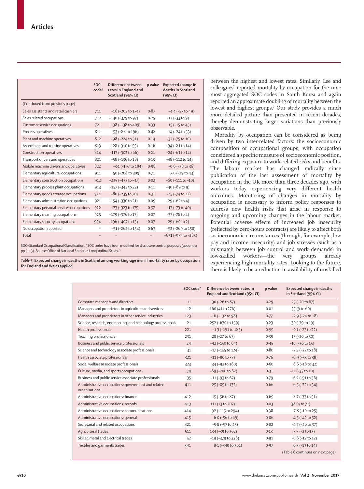|                                          | <b>SOC</b><br>code* | Difference between<br>rates in England and<br>Scotland (95% CI) | p value | Expected change in<br>deaths in Scotland<br>(95% CI) |
|------------------------------------------|---------------------|-----------------------------------------------------------------|---------|------------------------------------------------------|
| (Continued from previous page)           |                     |                                                                 |         |                                                      |
| Sales assistants and retail cashiers     | 711                 | $-16$ ( $-205$ to 174)                                          | 0.87    | $-4.4$ ( $-57$ to 49)                                |
| Sales related occupations                | 712                 | $-140$ ( $-379$ to 97)                                          | 0.25    | $-12$ $(-33$ to 9)                                   |
| Customer service occupations             | 721                 | 138 (-138 to 409)                                               | 0.33    | 15 (-15 to 45)                                       |
| Process operatives                       | 811                 | 53 (-88 to 196)                                                 | 0.48    | 14 (-24 to 53)                                       |
| Plant and machine operatives             | 812                 | $-98$ ( $-224$ to 31)                                           | 0.14    | $-32$ ( $-75$ to 10)                                 |
| Assemblers and routine operatives        | 813                 | $-128$ ( $-310$ to 55)                                          | 0.16    | $-34 (-81 to 14)$                                    |
| Construction operatives                  | 814                 | $-117$ ( $-302$ to 66)                                          | 0.21    | $-24 (-61 to 14)$                                    |
| Transport drivers and operatives         | 821                 | $-58$ ( $-136$ to $18$ )                                        | 0.13    | $-48$ ( $-112$ to $14$ )                             |
| Mobile machine drivers and operatives    | 822                 | $-3.1$ ( $-197$ to $184$ )                                      | 0.98    | $-0.6$ ( $-38$ to 36)                                |
| Elementary agricultural occupations      | 911                 | 50 (-208 to 309)                                                | 0.71    | 7.0 (-29 to 43)                                      |
| Elementary construction occupations      | 912                 | $-235 (-433 to -37)$                                            | 0.02    | $-60$ $(-111$ to $-10)$                              |
| Elementary process plant occupations     | 913                 | $-157$ ( $-345$ to 33)                                          | 0.11    | $-40$ ( $-89$ to 9)                                  |
| Elementary goods storage occupations     | 914                 | $-80$ ( $-235$ to $70$ )                                        | 0.31    | $-25$ ( $-74$ to 22)                                 |
| Elementary administration occupations    | 921                 | $-154$ ( $-330$ to 21)                                          | 0.09    | $-29$ ( $-62$ to 4)                                  |
| Elementary personal services occupations | 922                 | $-73$ ( $-323$ to 175)                                          | 0.57    | $-17$ ( $-73$ to 40)                                 |
| Elementary cleaning occupations          | 923                 | $-179$ ( $-376$ to 17)                                          | 0.07    | $-37$ ( $-78$ to 4)                                  |
| Elementary security occupations          | 924                 | $-196$ ( $-407$ to 13)                                          | 0.07    | $-29$ ( $-60$ to 2)                                  |
| No occupation reported                   |                     | $-51$ ( $-262$ to 154)                                          | 0.63    | -52 (-269 to 158)                                    |
| Total                                    |                     |                                                                 |         | $-631$ ( $-979$ to $-285$ )                          |

SOC=Standard Occupational Classification. \*SOC codes have been modified for disclosure control purposes (appendix pp 2-13). Source: Office of National Statistics Longitudinal Study.<sup>25</sup>

*Table 5***: Expected change in deaths in Scotland among working-age men if mortality rates by occupation for England and Wales applied** 

between the highest and lowest rates. Similarly, Lee and colleagues<sup>7</sup> reported mortality by occupation for the nine most aggregated SOC codes in South Korea and again reported an approximate doubling of mortality between the lowest and highest groups.<sup>7</sup> Our study provides a much more detailed picture than presented in recent decades, thereby demonstrating larger variations than previously observable.

Mortality by occupation can be considered as being driven by two inter-related factors: the socioeconomic composition of occupational groups, with occupation considered a specific measure of socioeconomic position, and differing exposure to work-related risks and benefits. The labour market has changed radically since publication of the last assessment of mortality by occupation in the UK more than three decades ago, with workers today experiencing very different health outcomes. Monitoring of changes in mortality by occupation is necessary to inform policy responses to address new health risks that arise in response to ongoing and upcoming changes in the labour market. Potential adverse effects of increased job insecurity (reflected by zero-hours contracts) are likely to affect both socioeconomic circumstances (through, for example, low pay and income insecurity) and job stresses (such as a mismatch between job control and work demands) in low-skilled workers—the very groups already experiencing high mortality rates. Looking to the future, there is likely to be a reduction in availability of unskilled

|                                                                     | SOC code* | Difference between rates in<br>England and Scotland (95% CI) | p value | <b>Expected change in deaths</b><br>in Scotland (95% CI) |
|---------------------------------------------------------------------|-----------|--------------------------------------------------------------|---------|----------------------------------------------------------|
| Corporate managers and directors                                    | 11        | 30 (-26 to 87)                                               | 0.29    | 23 (-20 to 67)                                           |
| Managers and proprietors in agriculture and services                | 12        | 160 (41 to 276)                                              | 0.01    | 35 (9 to 60)                                             |
| Managers and proprietors in other service industries                | 123       | $-16$ ( $-132$ to $98$ )                                     | 0.77    | $-2.9$ ( $-24$ to $18$ )                                 |
| Science, research, engineering, and technology professionals        | 21        | $-252$ ( $-670$ to 159)                                      | 0.23    | $-30$ ( $-79$ to 19)                                     |
| Health professionals                                                | 221       | $-1.3$ ( $-191$ to $185$ )                                   | 0.99    | $-0.1$ ( $-23$ to 22)                                    |
| Teaching professionals                                              | 231       | 20 (-27 to 67)                                               | 0.39    | 15 (-20 to 50)                                           |
| Business and public service professionals                           | 24        | $-42$ ( $-150$ to 64)                                        | 0.45    | $-10$ ( $-36$ to 15)                                     |
| Science and technology associate professionals                      | 31        | $-17$ ( $-155$ to 124)                                       | 0.80    | $-2.5$ ( $-22$ to $18$ )                                 |
| Health associate professionals                                      | 321       | $-11$ ( $-80$ to 57)                                         | 0.76    | $-6.9$ ( $-53$ to $38$ )                                 |
| Social welfare associate professionals                              | 323       | 34 (-92 to 160)                                              | 0.60    | $6.6$ ( $-18$ to 32)                                     |
| Culture, media, and sports occupations                              | 34        | $-69$ ( $-200$ to 62)                                        | 0.31    | $-11$ $(-33$ to $10)$                                    |
| Business and public service associate professionals                 | 35        | $-11$ ( $-93$ to 67)                                         | 0.79    | $-6.2$ ( $-51$ to $36$ )                                 |
| Administrative occupations: government and related<br>organisations | 411       | 25 (-85 to 132)                                              | 0.66    | $6.5$ (-22 to 34)                                        |
| Administrative occupations: finance                                 | 412       | 15 (-56 to 87)                                               | 0.69    | 8.7 (-33 to 51)                                          |
| Administrative occupations: records                                 | 413       | 111 (13 to 207)                                              | 0.03    | 38 (4 to 71)                                             |
| Administrative occupations: communications                          | 414       | 92 (-115 to 294)                                             | 0.38    | 7.8 (-10 to 25)                                          |
| Administrative occupations: general                                 | 415       | $6.0$ (-56 to 69)                                            | 0.86    | $4.5$ (-42 to 52)                                        |
| Secretarial and related occupations                                 | 421       | $-5.8$ ( $-57$ to 45)                                        | 0.82    | $-4.7$ ( $-46$ to 37)                                    |
| Agricultural trades                                                 | 511       | 134 (-39 to 302)                                             | 0.13    | $5.5$ (-2 to 13)                                         |
| Skilled metal and electrical trades                                 | 52        | $-19$ ( $-379$ to 336)                                       | 0.91    | $-0.6$ ( $-13$ to 12)                                    |
| Textiles and garments trades                                        | 541       | $8.1$ (-340 to 361)                                          | 0.97    | $0.3$ (-13 to 14)                                        |
|                                                                     |           |                                                              |         | (Table 6 continues on next page)                         |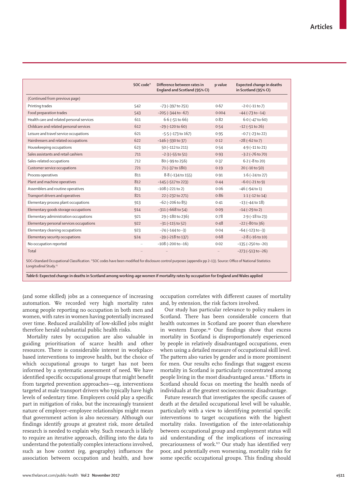|                                                                                                                                                                                                        | SOC code* | Difference between rates in   |          |                                                          |
|--------------------------------------------------------------------------------------------------------------------------------------------------------------------------------------------------------|-----------|-------------------------------|----------|----------------------------------------------------------|
|                                                                                                                                                                                                        |           | England and Scotland (95% CI) | p value  | <b>Expected change in deaths</b><br>in Scotland (95% CI) |
| (Continued from previous page)                                                                                                                                                                         |           |                               |          |                                                          |
| Printing trades                                                                                                                                                                                        | 542       | $-73$ ( $-397$ to 251)        | 0.67     | $-2.0$ $(-11$ to $7)$                                    |
| Food preparation trades                                                                                                                                                                                | 543       | $-205 (-344 to -67)$          | 0.004    | $-44 (-73)$ to $-14$ )                                   |
| Health care and related personal services                                                                                                                                                              | 611       | $6.6$ ( $-51$ to $66$ )       | 0.82     | $6.0$ ( $-47$ to $60$ )                                  |
| Childcare and related personal services                                                                                                                                                                | 612       | $-29$ ( $-120$ to 60)         | 0.54     | $-12$ ( $-51$ to $26$ )                                  |
| Leisure and travel service occupations                                                                                                                                                                 | 621       | $-5.5$ ( $-173$ to $167$ )    | 0.95     | $-0.7$ ( $-23$ to 22)                                    |
| Hairdressers and related occupations                                                                                                                                                                   | 622       | $-146$ ( $-330$ to 37)        | 0.12     | $-28$ ( $-62$ to $7$ )                                   |
| Housekeeping occupations                                                                                                                                                                               | 623       | 50 (-112 to 211)              | 0.54     | $4.9$ ( $-11$ to $21$ )                                  |
| Sales assistants and retail cashiers                                                                                                                                                                   | 711       | $-2.3$ ( $-55$ to $51$ )      | 0.93     | $-3.2$ ( $-76$ to $70$ )                                 |
| Sales-related occupations                                                                                                                                                                              | 712       | 80 (-99 to 256)               | 0.37     | $6.2$ ( $-8$ to 20)                                      |
| Customer service occupations                                                                                                                                                                           | 721       | 71 (-37 to 180)               | 0.19     | 20 (-10 to 50)                                           |
| Process operatives                                                                                                                                                                                     | 811       | 8.8 (-134 to 155)             | 0.91     | $1.6$ ( $-24$ to 27)                                     |
| Plant and machine operatives                                                                                                                                                                           | 812       | $-145$ ( $-517$ to 223)       | 0.44     | $-6.0$ ( $-21$ to 9)                                     |
| Assemblers and routine operatives                                                                                                                                                                      | 813       | $-108$ ( $-221$ to 2)         | 0.06     | $-46$ ( $-94$ to 1)                                      |
| Transport drivers and operatives                                                                                                                                                                       | 821       | 22 (-232 to 271)              | 0.86     | $1.1$ (-12 to 14)                                        |
| Elementary process plant occupations                                                                                                                                                                   | 913       | $-62$ ( $-206$ to 85)         | 0.41     | $-13$ ( $-44$ to $18$ )                                  |
| Elementary goods storage occupations                                                                                                                                                                   | 914       | $-311$ ( $-668$ to 54)        | 0.09     | $-14 (-29 to 2)$                                         |
| Elementary administration occupations                                                                                                                                                                  | 921       | 29 (-180 to 236)              | 0.78     | $2.9$ (-18 to 23)                                        |
| Elementary personal services occupations                                                                                                                                                               | 922       | $-31$ ( $-115$ to $52$ )      | 0.48     | $-22$ ( $-80$ to $36$ )                                  |
| Elementary cleaning occupations                                                                                                                                                                        | 923       | $-74$ ( $-144$ to $-3$ )      | 0.04     | $-64$ ( $-123$ to $-3$ )                                 |
| Elementary security occupations                                                                                                                                                                        | 924       | $-39$ ( $-218$ to 137)        | 0.68     | $-2.8$ ( $-16$ to 10)                                    |
| No occupation reported                                                                                                                                                                                 | $\ddots$  | $-108$ ( $-200$ to $-16$ )    | 0.02     | $-135 (-250 to -20)$                                     |
| Total                                                                                                                                                                                                  | $\ddotsc$ | $\ldots$                      | $\cdots$ | $-273$ ( $-513$ to $-26$ )                               |
| SOC=Standard Occupational Classification. *SOC codes have been modified for disclosure control purposes (appendix pp 2-13). Source: Office of National Statistics<br>Longitudinal Study. <sup>25</sup> |           |                               |          |                                                          |

*Table 6***: Expected change in deaths in Scotland among working-age women if mortality rates by occupation for England and Wales applied**

(and some skilled) jobs as a consequence of increasing automation. We recorded very high mortality rates among people reporting no occupation in both men and women, with rates in women having potentially increased over time. Reduced availability of low-skilled jobs might therefore herald substantial public health risks.

Mortality rates by occupation are also valuable in guiding prioritisation of scarce health and other resources. There is considerable interest in workplacebased interventions to improve health, but the choice of which occupational groups to target has not been informed by a systematic assessment of need. We have identified specific occupational groups that might benefit from targeted prevention approaches—eg, interventions targeted at male transport drivers who typically have high levels of sedentary time. Employers could play a specific part in mitigation of risks, but the increasingly transient nature of employer–employee relationships might mean that government action is also necessary. Although our findings identify groups at greatest risk, more detailed research is needed to explain why. Such research is likely to require an iterative approach, drilling into the data to understand the potentially complex interactions involved, such as how context (eg, geography) influences the association between occupation and health, and how occupation correlates with different causes of mortality and, by extension, the risk factors involved.

Our study has particular relevance to policy makers in Scotland. There has been considerable concern that health outcomes in Scotland are poorer than elsewhere in western Europe.<sup>30</sup> Our findings show that excess mortality in Scotland is disproportionately experienced by people in relatively disadvantaged occupations, even when using a detailed measure of occupational skill level. The pattern also varies by gender and is more prominent for men. Our results echo findings that suggest excess mortality in Scotland is particularly concentrated among people living in the most disadvantaged areas.<sup>31</sup> Efforts in Scotland should focus on meeting the health needs of individuals at the greatest socioeconomic disadvantage.

Future research that investigates the specific causes of death at the detailed occupational level will be valuable, particularly with a view to identifying potential specific interventions to target occupations with the highest mortality risks. Investigation of the inter-relationship between occupational group and employment status will aid understanding of the implications of increasing precariousness of work.<sup>8,9</sup> Our study has identified very poor, and potentially even worsening, mortality risks for some specific occupational groups. This finding should